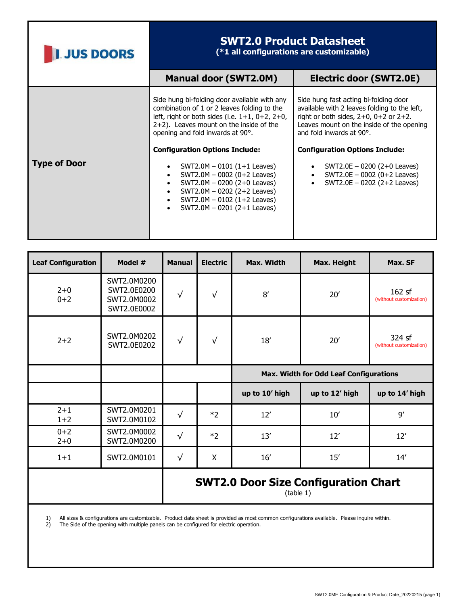| <b>I JUS DOORS</b>  | <b>SWT2.0 Product Datasheet</b><br>(*1 all configurations are customizable)                                                                                                                                                                                                                                                                                                                                                                                                                                                            |                                                                                                                                                                                                                                                                                                                                                             |  |
|---------------------|----------------------------------------------------------------------------------------------------------------------------------------------------------------------------------------------------------------------------------------------------------------------------------------------------------------------------------------------------------------------------------------------------------------------------------------------------------------------------------------------------------------------------------------|-------------------------------------------------------------------------------------------------------------------------------------------------------------------------------------------------------------------------------------------------------------------------------------------------------------------------------------------------------------|--|
|                     | <b>Manual door (SWT2.0M)</b>                                                                                                                                                                                                                                                                                                                                                                                                                                                                                                           | Electric door (SWT2.0E)                                                                                                                                                                                                                                                                                                                                     |  |
| <b>Type of Door</b> | Side hung bi-folding door available with any<br>combination of 1 or 2 leaves folding to the<br>left, right or both sides (i.e. $1+1$ , $0+2$ , $2+0$ ,<br>2+2). Leaves mount on the inside of the<br>opening and fold inwards at 90°.<br><b>Configuration Options Include:</b><br>SWT2.0M $-$ 0101 (1+1 Leaves)<br>SWT2.0M $-$ 0002 (0+2 Leaves)<br>$\bullet$<br>$SWT2.0M - 0200$ (2+0 Leaves)<br>$\bullet$<br>SWT2.0M $-$ 0202 (2+2 Leaves)<br>$\bullet$<br>SWT2.0M - 0102 (1+2 Leaves)<br>$\bullet$<br>SWT2.0M $-$ 0201 (2+1 Leaves) | Side hung fast acting bi-folding door<br>available with 2 leaves folding to the left,<br>right or both sides, $2+0$ , $0+2$ or $2+2$ .<br>Leaves mount on the inside of the opening<br>and fold inwards at 90°.<br><b>Configuration Options Include:</b><br>SWT2.0E $-$ 0200 (2+0 Leaves)<br>SWT2.0E $-$ 0002 (0+2 Leaves)<br>SWT2.0E $-$ 0202 (2+2 Leaves) |  |

| <b>Leaf Configuration</b>                                | Model #                                                  | <b>Manual</b> | <b>Electric</b> | Max. Width     | Max. Height                                   | Max. SF                           |
|----------------------------------------------------------|----------------------------------------------------------|---------------|-----------------|----------------|-----------------------------------------------|-----------------------------------|
| $2 + 0$<br>$0 + 2$                                       | SWT2.0M0200<br>SWT2.0E0200<br>SWT2.0M0002<br>SWT2.0E0002 | $\sqrt{}$     | $\sqrt{}$       | 8'             | 20'                                           | 162 sf<br>(without customization) |
| $2 + 2$                                                  | SWT2.0M0202<br>SWT2.0E0202                               | $\sqrt{}$     | $\sqrt{}$       | 18'            | 20'                                           | 324 sf<br>(without customization) |
|                                                          |                                                          |               |                 |                | <b>Max. Width for Odd Leaf Configurations</b> |                                   |
|                                                          |                                                          |               |                 | up to 10' high | up to 12' high                                | up to 14' high                    |
| $2 + 1$<br>$1+2$                                         | SWT2.0M0201<br>SWT2.0M0102                               | $\sqrt{ }$    | $*2$            | 12'            | 10'                                           | 9'                                |
| $0 + 2$<br>$2 + 0$                                       | SWT2.0M0002<br>SWT2.0M0200                               | $\sqrt{}$     | $*$             | 13'            | 12'                                           | 12'                               |
| $1 + 1$                                                  | SWT2.0M0101                                              | $\sqrt{ }$    | Χ               | 16'            | 15'                                           | 14'                               |
| <b>SWT2.0 Door Size Configuration Chart</b><br>(table 1) |                                                          |               |                 |                |                                               |                                   |

1) All sizes & configurations are customizable. Product data sheet is provided as most common configurations available. Please inquire within.

2) The Side of the opening with multiple panels can be configured for electric operation.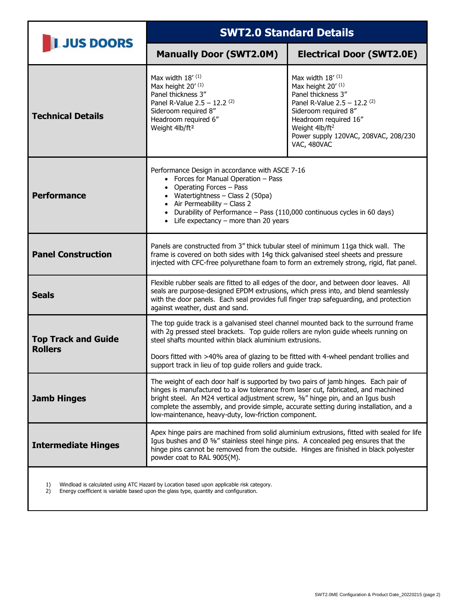|                                                                                                                                                                                               | <b>SWT2.0 Standard Details</b>                                                                                                                                                                                                                                                                                                                                                                                 |                                                                                                                                                                                                                                                  |  |
|-----------------------------------------------------------------------------------------------------------------------------------------------------------------------------------------------|----------------------------------------------------------------------------------------------------------------------------------------------------------------------------------------------------------------------------------------------------------------------------------------------------------------------------------------------------------------------------------------------------------------|--------------------------------------------------------------------------------------------------------------------------------------------------------------------------------------------------------------------------------------------------|--|
| <b>I JUS DOORS</b>                                                                                                                                                                            | <b>Manually Door (SWT2.0M)</b>                                                                                                                                                                                                                                                                                                                                                                                 | <b>Electrical Door (SWT2.0E)</b>                                                                                                                                                                                                                 |  |
| <b>Technical Details</b>                                                                                                                                                                      | Max width 18' (1)<br>Max height 20' (1)<br>Panel thickness 3"<br>Panel R-Value $2.5 - 12.2$ <sup>(2)</sup><br>Sideroom required 8"<br>Headroom required 6"<br>Weight 4lb/ft <sup>2</sup>                                                                                                                                                                                                                       | Max width 18' (1)<br>Max height 20' (1)<br>Panel thickness 3"<br>Panel R-Value $2.5 - 12.2$ <sup>(2)</sup><br>Sideroom required 8"<br>Headroom required 16"<br>Weight 4lb/ft <sup>2</sup><br>Power supply 120VAC, 208VAC, 208/230<br>VAC, 480VAC |  |
| <b>Performance</b>                                                                                                                                                                            | Performance Design in accordance with ASCE 7-16<br>• Forces for Manual Operation - Pass<br>• Operating Forces - Pass<br>• Watertightness - Class 2 (50pa)<br>• Air Permeability - Class 2<br>• Durability of Performance - Pass (110,000 continuous cycles in 60 days)<br>Life expectancy - more than 20 years                                                                                                 |                                                                                                                                                                                                                                                  |  |
| <b>Panel Construction</b>                                                                                                                                                                     | Panels are constructed from 3" thick tubular steel of minimum 11ga thick wall. The<br>frame is covered on both sides with 14g thick galvanised steel sheets and pressure<br>injected with CFC-free polyurethane foam to form an extremely strong, rigid, flat panel.                                                                                                                                           |                                                                                                                                                                                                                                                  |  |
| <b>Seals</b>                                                                                                                                                                                  | Flexible rubber seals are fitted to all edges of the door, and between door leaves. All<br>seals are purpose-designed EPDM extrusions, which press into, and blend seamlessly<br>with the door panels. Each seal provides full finger trap safeguarding, and protection<br>against weather, dust and sand.                                                                                                     |                                                                                                                                                                                                                                                  |  |
| <b>Top Track and Guide</b><br><b>Rollers</b>                                                                                                                                                  | The top guide track is a galvanised steel channel mounted back to the surround frame<br>with 2g pressed steel brackets. Top guide rollers are nylon guide wheels running on<br>steel shafts mounted within black aluminium extrusions.<br>Doors fitted with >40% area of glazing to be fitted with 4-wheel pendant trollies and<br>support track in lieu of top guide rollers and guide track.                 |                                                                                                                                                                                                                                                  |  |
| <b>Jamb Hinges</b>                                                                                                                                                                            | The weight of each door half is supported by two pairs of jamb hinges. Each pair of<br>hinges is manufactured to a low tolerance from laser cut, fabricated, and machined<br>bright steel. An M24 vertical adjustment screw, 5%" hinge pin, and an Igus bush<br>complete the assembly, and provide simple, accurate setting during installation, and a<br>low-maintenance, heavy-duty, low-friction component. |                                                                                                                                                                                                                                                  |  |
| <b>Intermediate Hinges</b>                                                                                                                                                                    | Apex hinge pairs are machined from solid aluminium extrusions, fitted with sealed for life<br>Igus bushes and $\varnothing$ 5%" stainless steel hinge pins. A concealed peg ensures that the<br>hinge pins cannot be removed from the outside. Hinges are finished in black polyester<br>powder coat to RAL 9005(M).                                                                                           |                                                                                                                                                                                                                                                  |  |
| Windload is calculated using ATC Hazard by Location based upon applicable risk category.<br>1)<br>2)<br>Energy coefficient is variable based upon the glass type, quantity and configuration. |                                                                                                                                                                                                                                                                                                                                                                                                                |                                                                                                                                                                                                                                                  |  |

2) Energy coefficient is variable based upon the glass type, quantity and configuration.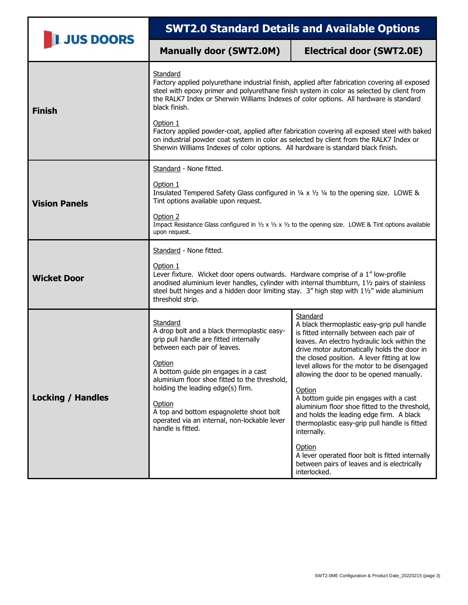|                          | <b>SWT2.0 Standard Details and Available Options</b>                                                                                                                                                                                                                                                                                                                                                                                                                                                                                                                                                                   |                                                                                                                                                                                                                                                                                                                                                                                                                                                                                                                                                                                                                                                                                             |  |
|--------------------------|------------------------------------------------------------------------------------------------------------------------------------------------------------------------------------------------------------------------------------------------------------------------------------------------------------------------------------------------------------------------------------------------------------------------------------------------------------------------------------------------------------------------------------------------------------------------------------------------------------------------|---------------------------------------------------------------------------------------------------------------------------------------------------------------------------------------------------------------------------------------------------------------------------------------------------------------------------------------------------------------------------------------------------------------------------------------------------------------------------------------------------------------------------------------------------------------------------------------------------------------------------------------------------------------------------------------------|--|
| <b>I JUS DOORS</b>       | <b>Manually door (SWT2.0M)</b>                                                                                                                                                                                                                                                                                                                                                                                                                                                                                                                                                                                         | <b>Electrical door (SWT2.0E)</b>                                                                                                                                                                                                                                                                                                                                                                                                                                                                                                                                                                                                                                                            |  |
| <b>Finish</b>            | <b>Standard</b><br>Factory applied polyurethane industrial finish, applied after fabrication covering all exposed<br>steel with epoxy primer and polyurethane finish system in color as selected by client from<br>the RALK7 Index or Sherwin Williams Indexes of color options. All hardware is standard<br>black finish.<br>Option 1<br>Factory applied powder-coat, applied after fabrication covering all exposed steel with baked<br>on industrial powder coat system in color as selected by client from the RALK7 Index or<br>Sherwin Williams Indexes of color options. All hardware is standard black finish. |                                                                                                                                                                                                                                                                                                                                                                                                                                                                                                                                                                                                                                                                                             |  |
| <b>Vision Panels</b>     | Standard - None fitted.<br>Option 1<br>Insulated Tempered Safety Glass configured in $\frac{1}{4} \times \frac{1}{2}$ to the opening size. LOWE &<br>Tint options available upon request.<br>Option 2<br>Impact Resistance Glass configured in $1/2 \times 1/2 \times 1/2$ to the opening size. LOWE & Tint options available<br>upon request.                                                                                                                                                                                                                                                                         |                                                                                                                                                                                                                                                                                                                                                                                                                                                                                                                                                                                                                                                                                             |  |
| <b>Wicket Door</b>       | Standard - None fitted.<br>Option 1<br>Lever fixture. Wicket door opens outwards. Hardware comprise of a 1" low-profile<br>anodised aluminium lever handles, cylinder with internal thumbturn, 11/2 pairs of stainless<br>steel butt hinges and a hidden door limiting stay. 3" high step with 11/2" wide aluminium<br>threshold strip.                                                                                                                                                                                                                                                                                |                                                                                                                                                                                                                                                                                                                                                                                                                                                                                                                                                                                                                                                                                             |  |
| <b>Locking / Handles</b> | Standard<br>A drop bolt and a black thermoplastic easy-<br>grip pull handle are fitted internally<br>between each pair of leaves.<br>Option<br>A bottom guide pin engages in a cast<br>aluminium floor shoe fitted to the threshold,<br>holding the leading edge(s) firm.<br>Option<br>A top and bottom espagnolette shoot bolt<br>operated via an internal, non-lockable lever<br>handle is fitted.                                                                                                                                                                                                                   | Standard<br>A black thermoplastic easy-grip pull handle<br>is fitted internally between each pair of<br>leaves. An electro hydraulic lock within the<br>drive motor automatically holds the door in<br>the closed position. A lever fitting at low<br>level allows for the motor to be disengaged<br>allowing the door to be opened manually.<br>Option<br>A bottom guide pin engages with a cast<br>aluminium floor shoe fitted to the threshold,<br>and holds the leading edge firm. A black<br>thermoplastic easy-grip pull handle is fitted<br>internally.<br>Option<br>A lever operated floor bolt is fitted internally<br>between pairs of leaves and is electrically<br>interlocked. |  |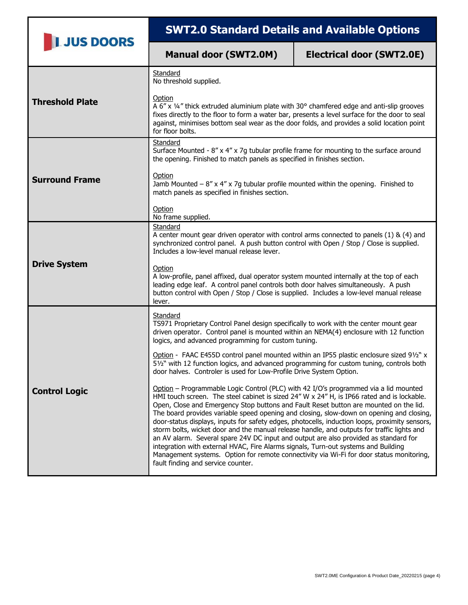| <b>I JUS DOORS</b>     | <b>SWT2.0 Standard Details and Available Options</b>                                                                                                                                                                                                                                                                                                                                                                                                                                                                                                                                                                                                                                                                                                                                                                                                                                    |                                  |  |  |
|------------------------|-----------------------------------------------------------------------------------------------------------------------------------------------------------------------------------------------------------------------------------------------------------------------------------------------------------------------------------------------------------------------------------------------------------------------------------------------------------------------------------------------------------------------------------------------------------------------------------------------------------------------------------------------------------------------------------------------------------------------------------------------------------------------------------------------------------------------------------------------------------------------------------------|----------------------------------|--|--|
|                        | <b>Manual door (SWT2.0M)</b>                                                                                                                                                                                                                                                                                                                                                                                                                                                                                                                                                                                                                                                                                                                                                                                                                                                            | <b>Electrical door (SWT2.0E)</b> |  |  |
|                        | <b>Standard</b><br>No threshold supplied.                                                                                                                                                                                                                                                                                                                                                                                                                                                                                                                                                                                                                                                                                                                                                                                                                                               |                                  |  |  |
| <b>Threshold Plate</b> | Option<br>A 6" x 1/4" thick extruded aluminium plate with 30° chamfered edge and anti-slip grooves<br>fixes directly to the floor to form a water bar, presents a level surface for the door to seal<br>against, minimises bottom seal wear as the door folds, and provides a solid location point<br>for floor bolts.                                                                                                                                                                                                                                                                                                                                                                                                                                                                                                                                                                  |                                  |  |  |
|                        | Standard<br>Surface Mounted - $8'' \times 4'' \times 7g$ tubular profile frame for mounting to the surface around<br>the opening. Finished to match panels as specified in finishes section.                                                                                                                                                                                                                                                                                                                                                                                                                                                                                                                                                                                                                                                                                            |                                  |  |  |
| <b>Surround Frame</b>  | Option<br>Jamb Mounted $-8''$ x 4" x 7g tubular profile mounted within the opening. Finished to<br>match panels as specified in finishes section.                                                                                                                                                                                                                                                                                                                                                                                                                                                                                                                                                                                                                                                                                                                                       |                                  |  |  |
|                        | Option<br>No frame supplied.                                                                                                                                                                                                                                                                                                                                                                                                                                                                                                                                                                                                                                                                                                                                                                                                                                                            |                                  |  |  |
|                        | Standard<br>A center mount gear driven operator with control arms connected to panels (1) & (4) and<br>synchronized control panel. A push button control with Open / Stop / Close is supplied.<br>Includes a low-level manual release lever.                                                                                                                                                                                                                                                                                                                                                                                                                                                                                                                                                                                                                                            |                                  |  |  |
| <b>Drive System</b>    | Option<br>A low-profile, panel affixed, dual operator system mounted internally at the top of each<br>leading edge leaf. A control panel controls both door halves simultaneously. A push<br>button control with Open / Stop / Close is supplied. Includes a low-level manual release<br>lever.                                                                                                                                                                                                                                                                                                                                                                                                                                                                                                                                                                                         |                                  |  |  |
|                        | Standard<br>TS971 Proprietary Control Panel design specifically to work with the center mount gear<br>driven operator. Control panel is mounted within an NEMA(4) enclosure with 12 function<br>logics, and advanced programming for custom tuning.                                                                                                                                                                                                                                                                                                                                                                                                                                                                                                                                                                                                                                     |                                  |  |  |
| <b>Control Logic</b>   | Option - FAAC E455D control panel mounted within an IP55 plastic enclosure sized 91/2" x<br>51/2" with 12 function logics, and advanced programming for custom tuning, controls both<br>door halves. Controler is used for Low-Profile Drive System Option.                                                                                                                                                                                                                                                                                                                                                                                                                                                                                                                                                                                                                             |                                  |  |  |
|                        | Option - Programmable Logic Control (PLC) with 42 I/O's programmed via a lid mounted<br>HMI touch screen. The steel cabinet is sized 24" W x 24" H, is IP66 rated and is lockable.<br>Open, Close and Emergency Stop buttons and Fault Reset button are mounted on the lid.<br>The board provides variable speed opening and closing, slow-down on opening and closing,<br>door-status displays, inputs for safety edges, photocells, induction loops, proximity sensors,<br>storm bolts, wicket door and the manual release handle, and outputs for traffic lights and<br>an AV alarm. Several spare 24V DC input and output are also provided as standard for<br>integration with external HVAC, Fire Alarms signals, Turn-out systems and Building<br>Management systems. Option for remote connectivity via Wi-Fi for door status monitoring,<br>fault finding and service counter. |                                  |  |  |